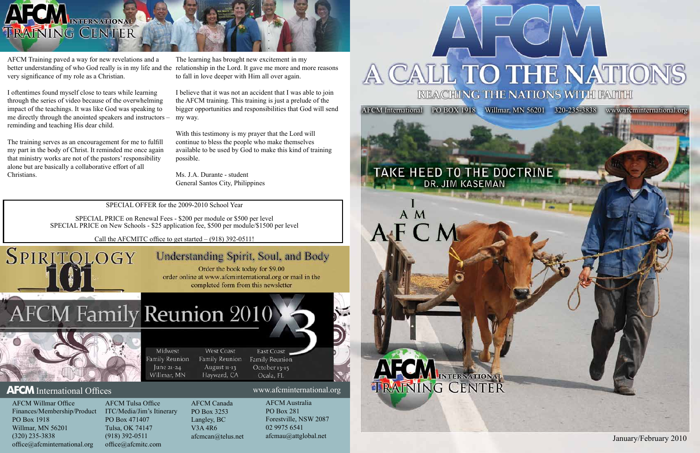January/February 2010

**TYPE TYPE TYPES** 

AFCM International PO BOX 1918 Willmar, MN 56201 320-235-3838 www.afcminternational.org

## TAKE HEED TO THE DOCTRINE DR. JIM KASEMAN







AFCM Training paved a way for new revelations and a very significance of my role as a Christian.

I oftentimes found myself close to tears while learning through the series of video because of the overwhelming impact of the teachings. It was like God was speaking to me directly through the anointed speakers and instructors – reminding and teaching His dear child.

better understanding of who God really is in my life and the relationship in the Lord. It gave me more and more reasons The learning has brought new excitement in my to fall in love deeper with Him all over again.

The training serves as an encouragement for me to fulfill my part in the body of Christ. It reminded me once again that ministry works are not of the pastors' responsibility alone but are basically a collaborative effort of all Christians.

I believe that it was not an accident that I was able to join the AFCM training. This training is just a prelude of the bigger opportunities and responsibilities that God will send my way.

With this testimony is my prayer that the Lord will continue to bless the people who make themselves available to be used by God to make this kind of training possible.

Ms. J.A. Durante - student General Santos City, Philippines

SPECIAL OFFER for the 2009-2010 School Year

SPECIAL PRICE on Renewal Fees - \$200 per module or \$500 per level SPECIAL PRICE on New Schools - \$25 application fee, \$500 per module/\$1500 per level

Call the AFCMITC office to get started – (918) 392-0511!

Midwest

amily Reunion

June 21-24

Willmar, MN

# Understanding Spirit, Soul, and Body

Order the book today for \$9.00 order online at www.afcminternational.org or mail in the completed form from this newsletter

# CM Family Reunion 2010



SPIRITOLOGY

### **AFCM** International Offices www.afcminternational.org

AFCM Willmar Office Finances/Membership/Product PO Box 1918 Willmar, MN 56201 (320) 235-3838 office@afcminternational.org

AFCM Tulsa Office ITC/Media/Jim's Itinerary PO Box 471407 Tulsa, OK 74147 (918) 392-0511 office@afcmitc.com

AFCM Canada PO Box 3253 Langley, BC V3A 4R6 afcmcan@telus.net

West Coast

Family Reunion

August 11-13

Hayward, CA

AFCM Australia PO Box 281

East Coast

Family Reunion

October 13-15

Ocala, FL

Forestville, NSW 2087 02 9975 6541 afcmau@attglobal.net

# **CALL TO THE NATIONS** A **REACHING THE NATIONS WITH FAITH**